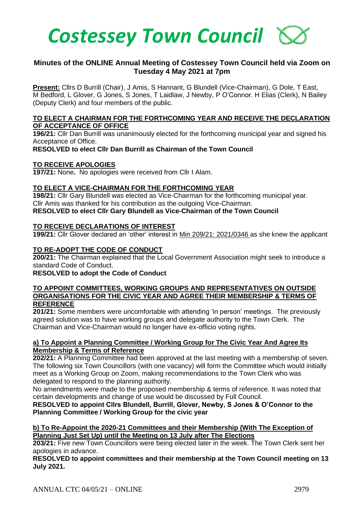

# **Minutes of the ONLINE Annual Meeting of Costessey Town Council held via Zoom on Tuesday 4 May 2021 at 7pm**

**Present:** Cllrs D Burrill (Chair), J Amis, S Hannant, G Blundell (Vice-Chairman), G Dole, T East, M Bedford, L Glover, G Jones, S Jones, T Laidlaw, J Newby, P O'Connor. H Elias (Clerk), N Bailey (Deputy Clerk) and four members of the public.

## **TO ELECT A CHAIRMAN FOR THE FORTHCOMING YEAR AND RECEIVE THE DECLARATION OF ACCEPTANCE OF OFFICE**

**196/21:** Cllr Dan Burrill was unanimously elected for the forthcoming municipal year and signed his Acceptance of Office.

**RESOLVED to elect Cllr Dan Burrill as Chairman of the Town Council**

### **TO RECEIVE APOLOGIES**

**197/21:** None**.** No apologies were received from Cllr I Alam.

## **TO ELECT A VICE-CHAIRMAN FOR THE FORTHCOMING YEAR**

**198/21:** Cllr Gary Blundell was elected as Vice-Chairman for the forthcoming municipal year. Cllr Amis was thanked for his contribution as the outgoing Vice-Chairman. **RESOLVED to elect Cllr Gary Blundell as Vice-Chairman of the Town Council**

### **TO RECEIVE DECLARATIONS OF INTEREST**

**199/21:** Cllr Glover declared an 'other' interest in Min 209/21: 2021/0346 as she knew the applicant

## **TO RE-ADOPT THE CODE OF CONDUCT**

**200/21:** The Chairman explained that the Local Government Association might seek to introduce a standard Code of Conduct.

### **RESOLVED to adopt the Code of Conduct**

### **TO APPOINT COMMITTEES, WORKING GROUPS AND REPRESENTATIVES ON OUTSIDE ORGANISATIONS FOR THE CIVIC YEAR AND AGREE THEIR MEMBERSHIP & TERMS OF REFERENCE**

**201/21:** Some members were uncomfortable with attending 'in person' meetings. The previously agreed solution was to have working groups and delegate authority to the Town Clerk. The Chairman and Vice-Chairman would no longer have ex-officio voting rights.

## **a) To Appoint a Planning Committee / Working Group for The Civic Year And Agree Its Membership & Terms of Reference**

**202/21:** A Planning Committee had been approved at the last meeting with a membership of seven. The following six Town Councillors (with one vacancy) will form the Committee which would initially meet as a Working Group on Zoom, making recommendations to the Town Clerk who was delegated to respond to the planning authority.

No amendments were made to the proposed membership & terms of reference. It was noted that certain developments and change of use would be discussed by Full Council.

**RESOLVED to appoint Cllrs Blundell, Burrill, Glover, Newby, S Jones & O'Connor to the Planning Committee / Working Group for the civic year** 

## **b) To Re-Appoint the 2020-21 Committees and their Membership (With The Exception of Planning Just Set Up) until the Meeting on 13 July after The Elections**

**203/21:** Five new Town Councillors were being elected later in the week. The Town Clerk sent her apologies in advance.

**RESOLVED to appoint committees and their membership at the Town Council meeting on 13 July 2021.**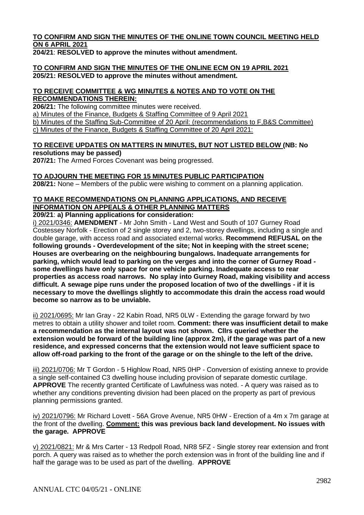## **TO CONFIRM AND SIGN THE MINUTES OF THE ONLINE TOWN COUNCIL MEETING HELD ON 6 APRIL 2021**

**204/21**: **RESOLVED to approve the minutes without amendment.** 

### **TO CONFIRM AND SIGN THE MINUTES OF THE ONLINE ECM ON 19 APRIL 2021 205/21: RESOLVED to approve the minutes without amendment.**

## **TO RECEIVE COMMITTEE & WG MINUTES & NOTES AND TO VOTE ON THE RECOMMENDATIONS THEREIN:**

**206/21:** The following committee minutes were received.

a) Minutes of the Finance, Budgets & Staffing Committee of 9 April 2021

b) Minutes of the Staffing Sub-Committee of 20 April: (recommendations to F,B&S Committee) c) Minutes of the Finance, Budgets & Staffing Committee of 20 April 2021:

# **TO RECEIVE UPDATES ON MATTERS IN MINUTES, BUT NOT LISTED BELOW (NB: No resolutions may be passed)**

**207/21:** The Armed Forces Covenant was being progressed.

# **TO ADJOURN THE MEETING FOR 15 MINUTES PUBLIC PARTICIPATION**

**208/21:** None – Members of the public were wishing to comment on a planning application.

# **TO MAKE RECOMMENDATIONS ON PLANNING APPLICATIONS, AND RECEIVE INFORMATION ON APPEALS & OTHER PLANNING MATTERS**

**209/21**: **a) Planning applications for consideration:**

i) 2021/0346: **AMENDMENT** - Mr John Smith - Land West and South of 107 Gurney Road Costessey Norfolk - Erection of 2 single storey and 2, two-storey dwellings, including a single and double garage, with access road and associated external works. **Recommend REFUSAL on the following grounds - Overdevelopment of the site; Not in keeping with the street scene; Houses are overbearing on the neighbouring bungalows. Inadequate arrangements for parking, which would lead to parking on the verges and into the corner of Gurney Road some dwellings have only space for one vehicle parking. Inadequate access to rear properties as access road narrows. No splay into Gurney Road, making visibility and access difficult. A sewage pipe runs under the proposed location of two of the dwellings - if it is necessary to move the dwellings slightly to accommodate this drain the access road would become so narrow as to be unviable.**

ii) 2021/0695: Mr Ian Gray - 22 Kabin Road, NR5 0LW - Extending the garage forward by two metres to obtain a utility shower and toilet room. **Comment: there was insufficient detail to make a recommendation as the internal layout was not shown. Cllrs queried whether the extension would be forward of the building line (approx 2m), if the garage was part of a new residence, and expressed concerns that the extension would not leave sufficient space to allow off-road parking to the front of the garage or on the shingle to the left of the drive.**

iii) 2021/0706: Mr T Gordon - 5 Highlow Road, NR5 0HP - Conversion of existing annexe to provide a single self-contained C3 dwelling house including provision of separate domestic curtilage. **APPROVE** The recently granted Certificate of Lawfulness was noted. - A query was raised as to whether any conditions preventing division had been placed on the property as part of previous planning permissions granted.

iv) 2021/0796: Mr Richard Lovett - 56A Grove Avenue, NR5 0HW - Erection of a 4m x 7m garage at the front of the dwelling. **Comment: this was previous back land development. No issues with the garage. APPROVE**

v) 2021/0821: Mr & Mrs Carter - 13 Redpoll Road, NR8 5FZ - Single storey rear extension and front porch. A query was raised as to whether the porch extension was in front of the building line and if half the garage was to be used as part of the dwelling. **APPROVE**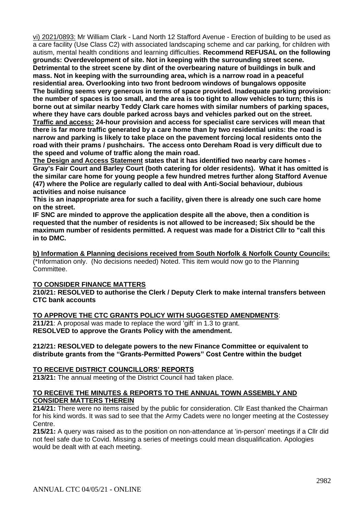vi) 2021/0893: Mr William Clark - Land North 12 Stafford Avenue - Erection of building to be used as a care facility (Use Class C2) with associated landscaping scheme and car parking, for children with autism, mental health conditions and learning difficulties. **Recommend REFUSAL on the following grounds: Overdevelopment of site. Not in keeping with the surrounding street scene. Detrimental to the street scene by dint of the overbearing nature of buildings in bulk and mass. Not in keeping with the surrounding area, which is a narrow road in a peaceful residential area. Overlooking into two front bedroom windows of bungalows opposite The building seems very generous in terms of space provided. Inadequate parking provision: the number of spaces is too small, and the area is too tight to allow vehicles to turn; this is borne out at similar nearby Teddy Clark care homes with similar numbers of parking spaces, where they have cars double parked across bays and vehicles parked out on the street. Traffic and access: 24-hour provision and access for specialist care services will mean that there is far more traffic generated by a care home than by two residential units: the road is narrow and parking is likely to take place on the pavement forcing local residents onto the road with their prams / pushchairs. The access onto Dereham Road is very difficult due to the speed and volume of traffic along the main road.** 

**The Design and Access Statement states that it has identified two nearby care homes - Gray's Fair Court and Barley Court (both catering for older residents). What it has omitted is the similar care home for young people a few hundred metres further along Stafford Avenue (47) where the Police are regularly called to deal with Anti-Social behaviour, dubious activities and noise nuisance**

**This is an inappropriate area for such a facility, given there is already one such care home on the street.**

**IF SNC are minded to approve the application despite all the above, then a condition is requested that the number of residents is not allowed to be increased; Six should be the maximum number of residents permitted. A request was made for a District Cllr to "call this in to DMC.**

**b) Information & Planning decisions received from South Norfolk & Norfolk County Councils:** (\*Information only. (No decisions needed) Noted. This item would now go to the Planning Committee.

## **TO CONSIDER FINANCE MATTERS**

**210/21: RESOLVED to authorise the Clerk / Deputy Clerk to make internal transfers between CTC bank accounts**

**TO APPROVE THE CTC GRANTS POLICY WITH SUGGESTED AMENDMENTS**: **211/21**: A proposal was made to replace the word 'gift' in 1.3 to grant. **RESOLVED to approve the Grants Policy with the amendment.**

### **212/21: RESOLVED to delegate powers to the new Finance Committee or equivalent to distribute grants from the "Grants-Permitted Powers" Cost Centre within the budget**

## **TO RECEIVE DISTRICT COUNCILLORS' REPORTS**

**213/21:** The annual meeting of the District Council had taken place.

### **TO RECEIVE THE MINUTES & REPORTS TO THE ANNUAL TOWN ASSEMBLY AND CONSIDER MATTERS THEREIN**

**214/21:** There were no items raised by the public for consideration. Cllr East thanked the Chairman for his kind words. It was sad to see that the Army Cadets were no longer meeting at the Costessey Centre.

**215/21:** A query was raised as to the position on non-attendance at 'in-person' meetings if a Cllr did not feel safe due to Covid. Missing a series of meetings could mean disqualification. Apologies would be dealt with at each meeting.